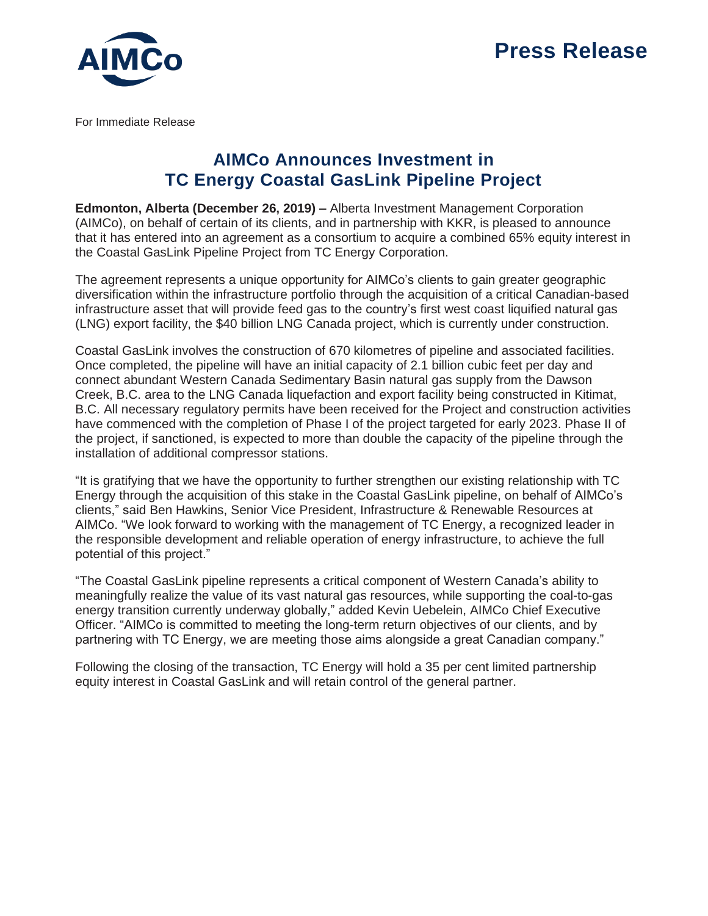

For Immediate Release

## **AIMCo Announces Investment in TC Energy Coastal GasLink Pipeline Project**

**Edmonton, Alberta (December 26, 2019) –** Alberta Investment Management Corporation (AIMCo), on behalf of certain of its clients, and in partnership with KKR, is pleased to announce that it has entered into an agreement as a consortium to acquire a combined 65% equity interest in the Coastal GasLink Pipeline Project from TC Energy Corporation.

The agreement represents a unique opportunity for AIMCo's clients to gain greater geographic diversification within the infrastructure portfolio through the acquisition of a critical Canadian-based infrastructure asset that will provide feed gas to the country's first west coast liquified natural gas (LNG) export facility, the \$40 billion LNG Canada project, which is currently under construction.

Coastal GasLink involves the construction of 670 kilometres of pipeline and associated facilities. Once completed, the pipeline will have an initial capacity of 2.1 billion cubic feet per day and connect abundant Western Canada Sedimentary Basin natural gas supply from the Dawson Creek, B.C. area to the LNG Canada liquefaction and export facility being constructed in Kitimat, B.C. All necessary regulatory permits have been received for the Project and construction activities have commenced with the completion of Phase I of the project targeted for early 2023. Phase II of the project, if sanctioned, is expected to more than double the capacity of the pipeline through the installation of additional compressor stations.

"It is gratifying that we have the opportunity to further strengthen our existing relationship with TC Energy through the acquisition of this stake in the Coastal GasLink pipeline, on behalf of AIMCo's clients," said Ben Hawkins, Senior Vice President, Infrastructure & Renewable Resources at AIMCo. "We look forward to working with the management of TC Energy, a recognized leader in the responsible development and reliable operation of energy infrastructure, to achieve the full potential of this project."

"The Coastal GasLink pipeline represents a critical component of Western Canada's ability to meaningfully realize the value of its vast natural gas resources, while supporting the coal-to-gas energy transition currently underway globally," added Kevin Uebelein, AIMCo Chief Executive Officer. "AIMCo is committed to meeting the long-term return objectives of our clients, and by partnering with TC Energy, we are meeting those aims alongside a great Canadian company."

Following the closing of the transaction, TC Energy will hold a 35 per cent limited partnership equity interest in Coastal GasLink and will retain control of the general partner.